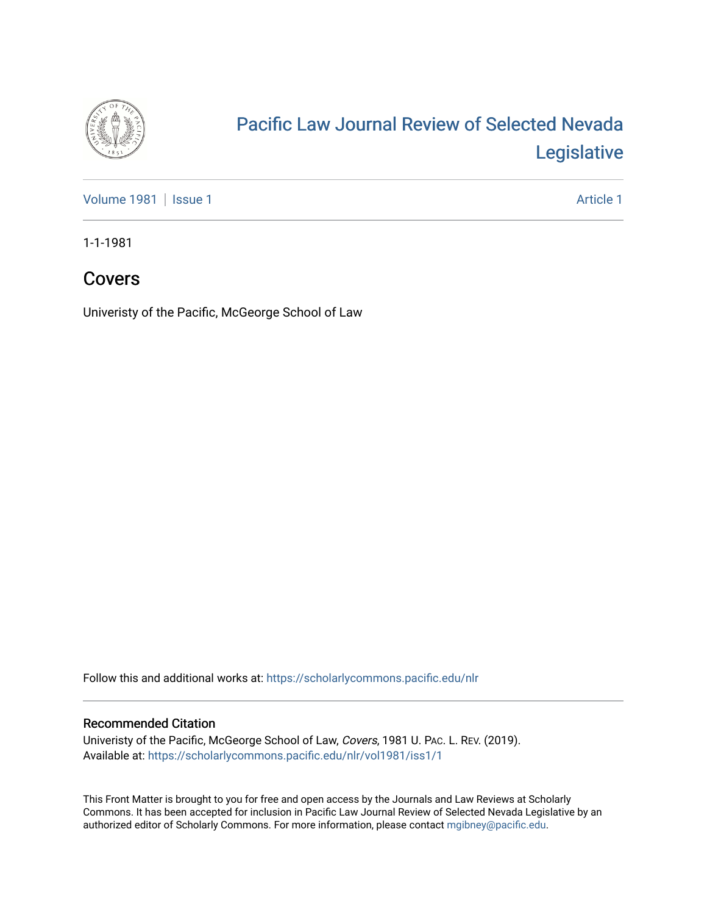

## [Pacific Law Journal Review of Selected Nevada](https://scholarlycommons.pacific.edu/nlr)  [Legislative](https://scholarlycommons.pacific.edu/nlr)

[Volume 1981](https://scholarlycommons.pacific.edu/nlr/vol1981) | [Issue 1](https://scholarlycommons.pacific.edu/nlr/vol1981/iss1) Article 1

1-1-1981

### Covers

Univeristy of the Pacific, McGeorge School of Law

Follow this and additional works at: [https://scholarlycommons.pacific.edu/nlr](https://scholarlycommons.pacific.edu/nlr?utm_source=scholarlycommons.pacific.edu%2Fnlr%2Fvol1981%2Fiss1%2F1&utm_medium=PDF&utm_campaign=PDFCoverPages) 

#### Recommended Citation

Univeristy of the Pacific, McGeorge School of Law, Covers, 1981 U. PAC. L. REV. (2019). Available at: [https://scholarlycommons.pacific.edu/nlr/vol1981/iss1/1](https://scholarlycommons.pacific.edu/nlr/vol1981/iss1/1?utm_source=scholarlycommons.pacific.edu%2Fnlr%2Fvol1981%2Fiss1%2F1&utm_medium=PDF&utm_campaign=PDFCoverPages) 

This Front Matter is brought to you for free and open access by the Journals and Law Reviews at Scholarly Commons. It has been accepted for inclusion in Pacific Law Journal Review of Selected Nevada Legislative by an authorized editor of Scholarly Commons. For more information, please contact [mgibney@pacific.edu](mailto:mgibney@pacific.edu).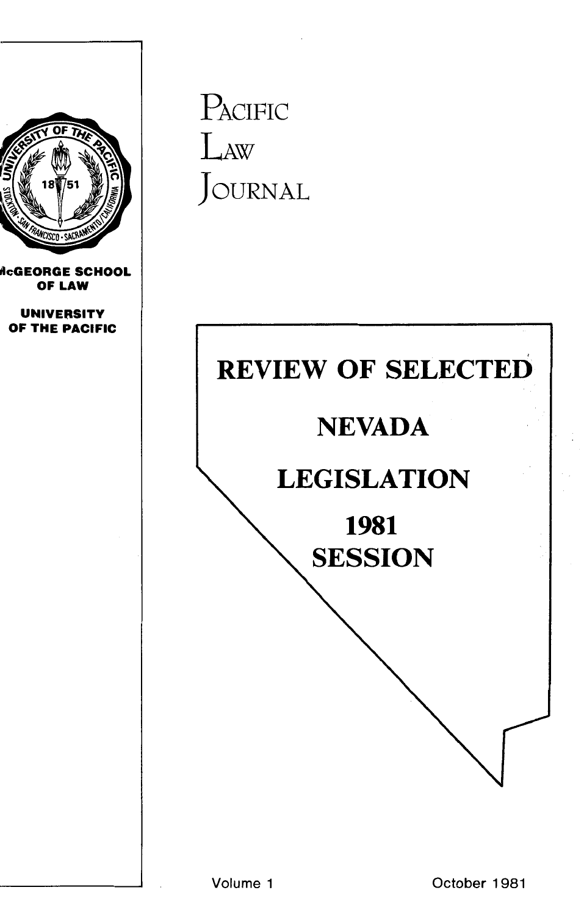

NEVADA

1981

**SESSION**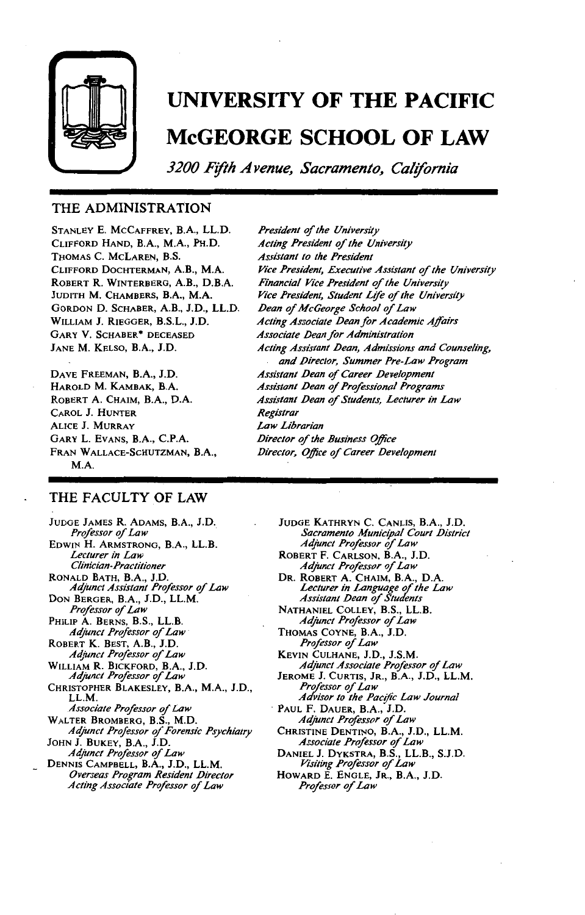

## **UNIVERSITY OF THE PACIFIC McGEORGE SCHOOL OF LAW**

*3200 Fifth Avenue, Sacramento, California* 

#### THE ADMINISTRATION

STANLEY E. McCAFFREY, B.A., LL.D. CLIFFORD HAND, B.A., M.A., PH.D. THOMAS C. McLAREN, B.S. CLIFFORD DOCHTERMAN, A.B., M.A. ROBERT R. WINTERBERG, A.B., D.B.A. JUDITH M. CHAMBERS, B.A., M.A. GORDON D. SCHABER, A.B., J.D., LL.D. WILLIAM J. RIEGGER, B.S.L., J.D. GARY V. SCHABER\* DECEASED JANE M. KELSO, B.A., J.D.

DAVE FREEMAN, B.A., J.D. HAROLD M. KAMBAK, B.A. ROBERT A. CHAIM, B.A., D.A. CAROL J. HUNTER ALICE J. MURRAY GARY L. EvANS, B.A., C.P.A. FRAN WALLACE-SCHUTZMAN, B.A., M.A.

**President of the University** *Acting President* o/ *the University Assistant to the President*  Vice President, Executive Assistant of the University **Financial Vice President of the University** *Vice President, Student Life* o/ *the University*  **Dean of McGeorge School of Law** *Acting Associate .Dean for Academic Affairs Associate .Dean for Administration Acting Assistant .Dean, Admissions and Counseling, and .Director, Summer Pre-Law Program Assistant .Dean of Career .Development Assistant .Dean* o/ *Prqfessional Programs*  Assistant Dean of Students, Lecturer in Law *Registrar Law Librarian*  **Director of the Business Office Director, Office of Career Development** 

#### THE FACULTY OF LAW

JUDGE JAMES R. ADAMS, B.A., J.D. *Prqfessor of Law*  EDWIN H. ARMSTRONG, B.A., LL.B. *Lecturer in Law Clinician-Practitioner*  RONALD BATH, B.A., J.D. *Adjunct Assistant Prqfessor* o/ *Law*  DON BERGER, B.A., J.D., LL.M. **Professor of Law** PHILIP A. BERNS, B.S., LL.B. *Adjunct Prqfessor of Law*  ROBERT K. BEST, A.B., J.D. *Adjunct Prqfessor of Law*  WILLIAM R. BICKFORD, B.A., J.D.<br>*Adjunct Professor of Law* CHRISTOPHER BLAKESLEY, B.A., M.A., J.D., LL.M. *Associate Professor* o/ *Law*  WALTER BROMBERG, B.S., M.D.<br>*Adjunct Professor of Forensic Psychiatry* JOHN J. BUKEY, B.A., J.D. *Adjunct Professor* o/ *Law*  DENNIS CAMPBELL, B.A., J.D., LL.M. *Overseas Program Resident .Director Acting Associate Prqfessor* o/ *Law* 

JUDGE KATHRYN C. CANLIS, B.A., J.D. *Sacramento Municipal Court .District Adjunct Professor* o/ *Law*  ROBERT F. CARLSON, B.A., J.D.

*Adjunct Prqfessor* o/ *Law* 

DR. ROBERT A. CHAIM, B.A., D.A.<br>*Lecturer in Language of the Law<br><i>Assistant Dean of Students* 

NATHANIEL COLLEY, B.S., LL.B. *Adjunct Prqfessor* o/ *Law* 

THOMAS COYNE, B.A., J.D. **Professor of Law** 

KEVIN CULHANE, J.D., J.S.M. *Adjunct Associate Professor* o/ *Law* 

JEROME J. CURTIS, JR., B.A., J.D., LL.M. **Professor of Law** 

*Advisor to the Pacific Law Journal*  . PAUL F. DAUER, B.A., J.D.

*Adjunct Prqfessor* o/ *Law* 

CHRISTINE DENTINO, B.A., J.D., LL.M. **Associate Professor of Law** 

DANIEL J. DYKSTRA, B.S., LL.B., S.J.D.<br>*Visiting Professor of Law* 

HOWARD E. ENGLE, JR., B.A., J.D. *Prqfessor of Law*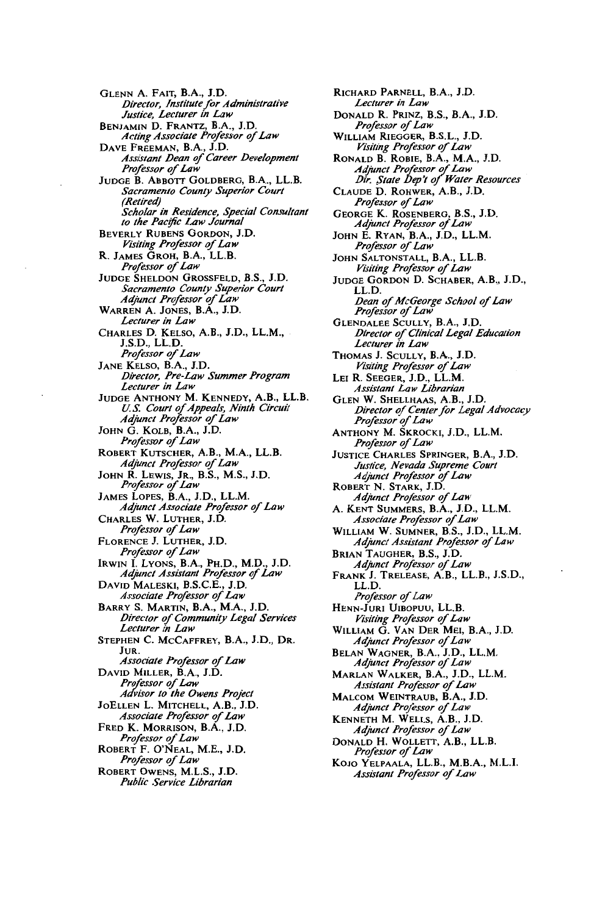GLENN A. FAIT, B.A., J.D. *Director, Institute for Administrative Justice, Lecturer in Law*  BENJAMIN D. FRANTZ, B.A., J.D. *Acting Associate Prqfessor of Law*  DAVE FREEMAN, B.A., J.D.<br>*Assistant Dean of Career Development* **Professor** of Law JuDGE B. ABBOTT GOLDBERG, B.A., LL.B. *Sacramento County Superior Court (Retired) Scholar in Residence, Special Consultant to the Pac!fic Law Journal*  BEVERLY RUBENS GORDON, J.D. *Visiting Professor of Law*<br>R. JAMES GROH, B.A., LL.B.<br>*Professor of Law* JUDGE SHELDON GROSSFELD, B.S., J.D. *Sacramento County Superior Court Adjunct Professor of Law*<br>WARREN A. JONES, B.A., J.D. *Lecturer in Law*  CHARLES D. KELSO, A.B., J.D., LL.M., J.S.D., LL.D. *Professor of Law* JANE KELSO, B.A., J.D. *Director, Pre-Law Summer Program Lecturer in Law*  JUDGE ANTHONY M. KENNEDY, A.B., LL.B. *U.S. Court of Appeals, Ninth Circuit Adjunct Prqfessor* o/ *Law*  JoHN G. KoLB, B.A., J.D. **Professor** of Law ROBERT KUTSCHER, A.B., M.A., LL.B.<br>*Adjunct Professor of Law* JoHN R. LEWIS, JR., B.S., M.S., J.D. *Prqfessor* o/ *Law*  JAMES LOPES, B.A., J.D., LL.M. Adjunct Associate Professor of Law CHARLES W. LUTHER, J.D. *Professor of Law* FLORENCE J. LUTHER, J.D. *Prqfessor of Law*  IRWIN I. LYONS, B.A., PH.D., M.D., J.D.<br>*Adjunct Assistant Professor of Law* DAVID MALESKI, B.S.C.E., J.D. *Associate Professor of Law*  BARRY S. MARTIN, B.A., M.A., J.D. *Director* o/ *Community Legal Services Lecturer in Law*  STEPHEN C. McCAFFREY, B.A., J.D., DR. JuR. **Associate Professor of Law** DAVID MILLER, B.A., J.D.<br>*Professor of Law AdVisor to the Owens Project*  JoELLEN L. MITCHELL, A.B., J.D. Associate Professor of Law FRED K. MORRISON, B.A., J.D. *Professor of Law*<br>**ROBERT F. O'NEAL, M.E., J.D.** *Professor of Law* RoBERT OwENs, M.L.S., J.D.

*Public Service Librarian* 

RICHARD PARNELL, B.A., J.D. *Lecturer in Law*  DONALD R. PRINZ, B.S., B.A., J.D. *Professor of Law*  WILLIAM RIEGGER, B.S.L., J.D.  $V$ *isiting Professor of Law* RONALD B. ROBIE, B.A., M.A., J.D. *Adjunct Professor* o/ *Law Dir. ,State bep't of Water Resources*  CLAUDE D. ROHWER, A.B., J.D. **Professor** of Law GEORGE K. ROSENBERG, B.S., J.D.<br>*Adjunct Professor of Law* JOHN E. RYAN, B.A., J.D., LL.M. **Professor of Law** JOHN SALTONSTALL, B.A., LL.B. *Visiting Prqfessor* o/ *Law*  JUDGE GORDON D. SCHABER, A.B., J.D., LL.D. *Dean of McGeorge School of Law Professor of Law* GLENDALEE SCULLY, B.A., J.D. *Director of Clinical Legal Education Lecturer in Law*  Thomas J. Scully, B.A., J.D.<br>*Visiting Professor of Law* LEI R. SEEGER, J.D., LL.M. *Assistant Law Librarian*  GLEN W. SHELLHAAS, A.B., J.D. *Director of Center for Legal Advocacy Prqfessor of Law*  ANTHONY M. SKROCKI, J.D., LL.M. **Professor** of Law JUSTICE CHARLES SPRINGER, B.A., J.D. *Justice, Nevada Supreme Court Adjunct Professor* o/ *Law*  ROBERT N. STARK, J.D. *Adjunct Professor of Law* A. KENT SUMMERS, B.A., J.D., LL.M.  $A$ ssociate Professor of Law WILLIAM W. SUMNER, B.S., J.D., LL.M. *Adjunct Assistant Professor of Law* BRIAN TAUGHER, B.S., J.D. *Adjunct Prqfessor* o/ *Law*  FRANK J. TRELEASE, A.B., LL.B., J.S.D., LL.D. *Professor of Law* HENN-JURI UIBOPUU, LL.B. *Visiting Professor* o/ *Law*  WILLIAM G. VAN DER MEl, B.A., J.D. *Adjunct Prqfessor of Law*  BELAN WAGNER, B.A., J.D., LL.M. *Adjunct Professor of Law* MARLAN WALKER, B.A., J.D., LL.M. **Assistant Professor of Law** MALCOM WEINTRAUB, B.A., J.D. *Adjunct Prqfessor of Law*  KENNETH M. WELLS, A.B., J.D. *Adjunct Professor* o/ *Law*  DoNALD H. WOLLETT, A.B., LL.B. *Professor of Law* KoJO YELPAALA, LL.B., M.B.A., M.L.I. *Assistant Professor of Law*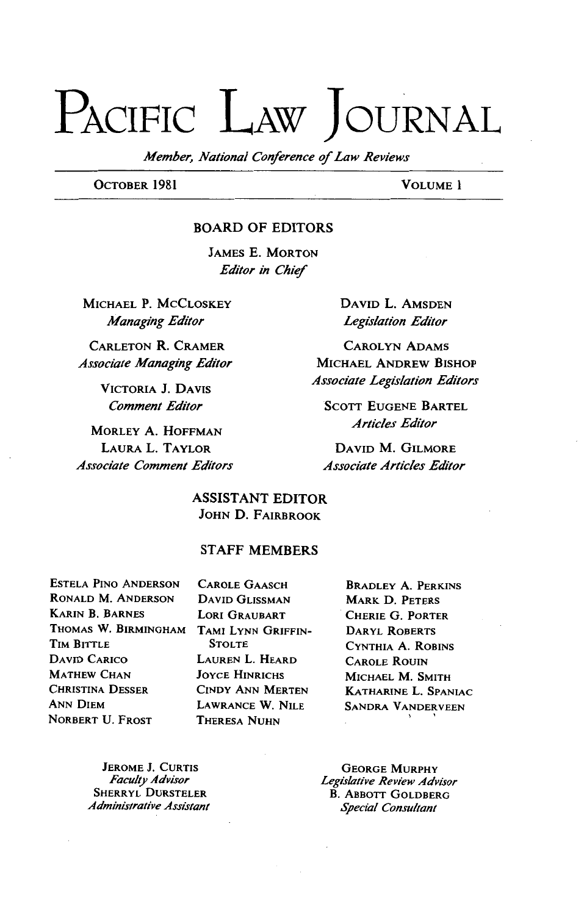# PACIFIC LAW JOURNAL

*Member, National Conference* of *Law Reviews* 

OCTOBER 1981 VOLUME I

#### BOARD OF EDITORS

JAMES E. MORTON *Editor in Chief* 

MICHAEL P. McCLOSKEY *Managing Editor* 

CARLETON R. CRAMER CAROLYN ADAMS *Associate Managing Editor* 

VICTORIA J. DAVIS *Comment Editor* 

MORLEY A. HOFFMAN LAURAL. TAYLOR *Associate Comment Editors*  DAVID L. AMSDEN *Legislation Editor* 

MICHAEL ANDREW BISHOP *Associate Legislation Editors* 

**SCOTT EUGENE BARTEL** *Articles Editor* 

DAVID M. GILMORE *Associate Articles Editor* 

**ASSISTANT EDITOR** JOHN D. FAIRBROOK

#### STAFF MEMBERS

ESTELA PINO ANDERSON CAROLE GAASCH RONALD M. ANDERSON DAVID GLISSMAN KARIN B. BARNES LORI GRAUBART THOMAS W. BIRMINGHAM TAMI LYNN GRIFFIN-TIM BITTLE STOLTE DAVID CARICO MATHEW CHAN CHRISTINA DESSER ANN DIEM NORBERT U. FROST

LAUREN L. HEARD JOYCE HINRICHS CINDY ANN MERTEN LAWRANCE W. NILE THERESA NUHN

BRADLEY A. PERKINS MARK D. PETERS CHERIE G. PORTER DARYL RoBERTs CYNTHIA A. ROBINS CAROLE ROUIN MICHAEL M. SMITH KATHARINE L. SPANIAC SANDRA VANDERVEEN  $\mathbf{v} = \mathbf{v}$ 

JEROME J. CURTIS *Faculty Adrlisor*  SHERRYL DURSTELER *Administrative Assistant* 

GEORGE MURPHY *Legislative Review Advisor*  B. ABBOTT GOLDBERG *Special Consultant*